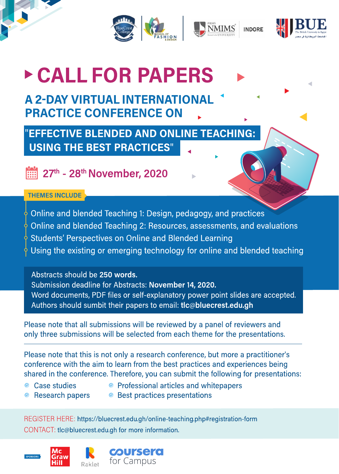



# CALL FOR PAPERS

# **A 2-DAY VIRTUAL INTERNATIONAL PRACTICE CONFERENCE ON**

"EFFECTIVE BLENDED AND ONLINE TEACHING: **USING THE BEST PRACTICES"** 

27th - 28th November, 2020

### **THEMES INCLUDE**

- $\frac{1}{2}$  Online and blended Teaching 1: Design, pedagogy, and practices
- $\frac{1}{2}$  Online and blended Teaching 2: Resources, assessments, and evaluations
- $\frac{1}{2}$  Students' Perspectives on Online and Blended Learning
- $\frac{1}{2}$  Using the existing or emerging technology for online and blended teaching

Abstracts should be 250 words.

Submission deadline for Abstracts: November 14, 2020.

Word documents, PDF files or self-explanatory power point slides are accepted. Authors should sumbit their papers to email: tlc@bluecrest.edu.gh

Please note that all submissions will be reviewed by a panel of reviewers and only three submissions will be selected from each theme for the presentations.

Please note that this is not only a research conference, but more a practitioner's conference with the aim to learn from the best practices and experiences being shared in the conference. Therefore, you can submit the following for presentations:

- Case studies
- Professional articles and whitepapers
- Research papers
- Best practices presentations

REGISTER HERE: https://bluecrest.edu.gh/online-teaching.php#registration-form CONTACT: tlc@bluecrest.edu.gh for more information.

> **COURSERO** for Campus



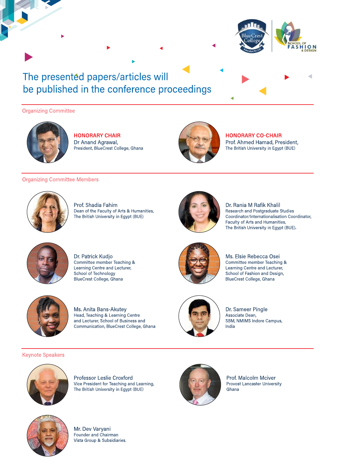

### The presented papers/articles will be published in the conference proceedings

#### **Organizing Committee**



**HONORARY CHAIR** Dr Anand Agrawal, President, BlueCrest College, Ghana



**HONORARY CO-CHAIR** 

Prof. Ahmed Hamad, President, The British University in Egypt (BUE)

#### **Organizing Committee Members**



Prof. Shadia Fahim Dean of the Faculty of Arts & Humanities, The British University in Egypt (BUE)



Dr. Rania M Rafik Khalil Research and Postgraduate Studies Coordinator/Internationalisation Coordinator, Faculty of Arts and Humanities, The British University in Egypt (BUE).



Dr. Patrick Kudjo Committee member Teaching & Learning Centre and Lecturer, School of Technology BlueCrest College, Ghana



Ms. Anita Bans-Akutey Head, Teaching & Learning Centre and Lecturer, School of Business and Communication, BlueCrest College, Ghana



Ms. Elsie Rebecca Osei Committee member Teaching & Learning Centre and Lecturer, School of Fashion and Design, BlueCrest College, Ghana



Dr. Sameer Pingle Associate Dean, SBM, NMIMS Indore Campus, India

#### **Keynote Speakers**



Professor Leslie Croxford Vice President for Teaching and Learning, The British University in Egypt (BUE)



Prof. Malcolm Mciver Provost Lancaster University Ghana



Mr. Dev Varyani Founder and Chairman Vista Group & Subsidiaries.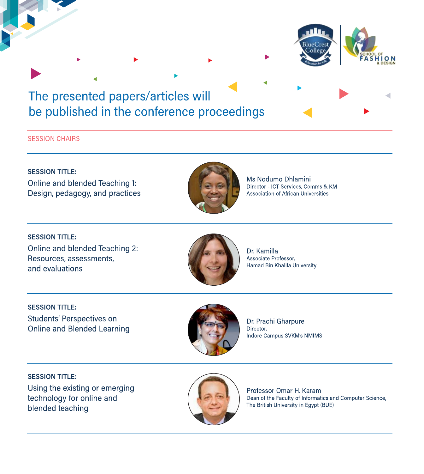### The presented papers/articles will be published in the conference proceedings

#### **SESSION CHAIRS**

**SESSION TITLE:** Online and blended Teaching 1: Design, pedagogy, and practices



Ms Nodumo Dhlamini Director - ICT Services, Comms & KM **Association of African Universities** 

**SESSION TITLE:** Online and blended Teaching 2: Resources, assessments, and evaluations



Dr. Kamilla Associate Professor, Hamad Bin Khalifa University

**SESSION TITLE:** Students' Perspectives on **Online and Blended Learning** 



Dr. Prachi Gharpure Director, Indore Campus SVKM's NMIMS

**SESSION TITLE:** Using the existing or emerging technology for online and blended teaching



Professor Omar H. Karam Dean of the Faculty of Informatics and Computer Science, The British University in Egypt (BUE)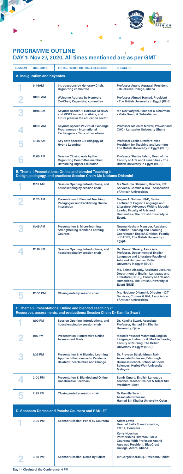| <b>SESSION</b>                                                                                                                        | <b>TIME (GMT)</b> | <b>TOPIC/THEME FOR PANEL SESSIONS</b>                                                                                          | <b>SPEAKERS</b>                                                                                                                                                                                                                                             |  |  |  |
|---------------------------------------------------------------------------------------------------------------------------------------|-------------------|--------------------------------------------------------------------------------------------------------------------------------|-------------------------------------------------------------------------------------------------------------------------------------------------------------------------------------------------------------------------------------------------------------|--|--|--|
| A. Inauguration and Keynotes                                                                                                          |                   |                                                                                                                                |                                                                                                                                                                                                                                                             |  |  |  |
|                                                                                                                                       | 9:45AM            | <b>Introductions by Honorary Chair,</b><br><b>Organizing committee</b>                                                         | <b>Professor Anand Agrawal, President</b><br>- BlueCrest College, Ghana                                                                                                                                                                                     |  |  |  |
|                                                                                                                                       | 10:00 AM          | <b>Welcome Address by Honorary</b><br><b>Co-Chair, Organizing committee</b>                                                    | <b>Professor Ahmed Hamad, President</b><br>- The British University in Egypt (BUE)                                                                                                                                                                          |  |  |  |
|                                                                                                                                       | 10:15 AM          | Keynote speech 1: EUREKA AFRICA<br>and VISTA impact on Africa, and<br>future plans in the education sector                     | Mr. Dev Varyani, Founder & Chairman<br>- Vista Group & Subsidiaries                                                                                                                                                                                         |  |  |  |
|                                                                                                                                       | 10:30 AM          | Keynote speech 2: Virtual Exchange<br><b>Programmes - International</b><br><b>Exchange in a Time of Lockdown</b>               | <b>Professor Malcolm Mciver, Provost and</b><br><b>CAO - Lancaster University Ghana</b>                                                                                                                                                                     |  |  |  |
|                                                                                                                                       | 10:45 AM          | Key note speech 3: Pedagogy of<br><b>Hybrid Learning</b>                                                                       | <b>Professor Leslie Croxford, Vice</b><br><b>President for Teaching and Learning -</b><br>The British University in Egypt (BUE)                                                                                                                             |  |  |  |
|                                                                                                                                       | 11:00 AM          | <b>Session Closing note by the</b><br><b>Organizing Committee member:</b><br><b>Rethinking Higher Education</b>                | Professor Shadia Fahim, Dean of the<br><b>Faculty of Arts and Humanities - The</b><br><b>British University in Egypt (BUE)</b>                                                                                                                              |  |  |  |
| <b>B. Theme 1 Presentations: Online and blended Teaching 1:</b><br>Design, pedagogy, and practices: Session Chair: Ms Nodumo Dhlamini |                   |                                                                                                                                |                                                                                                                                                                                                                                                             |  |  |  |
|                                                                                                                                       | 11:15 AM          | <b>Session Opening, Introductions, and</b><br>housekeeping by session chair                                                    | <b>Ms Nodumo Dhlamini, Director, ICT</b><br><b>Services, Comms &amp; KM - Association</b><br>of African Universities                                                                                                                                        |  |  |  |
|                                                                                                                                       | 11:20 AM          | <b>Presentation 1: Blended Teaching</b><br><b>Pedagogies and Facilitating Online</b><br><b>Interaction</b>                     | Nagwa A. Soliman PhD, Senior<br><b>Lecturer of English Language and</b><br><b>Literature, Advanced Writing Module</b><br><b>Leader, Faculty of Arts and</b><br><b>Humanities, The British University in</b><br>Egypt.                                       |  |  |  |
|                                                                                                                                       | 11:45 AM          | <b>Presentation 2: Micro-learning:</b><br><b>Strengthening Blended Learning</b><br><b>Courses</b>                              | Nesma Hesham Mansour, Assistant<br><b>Lecturer, Teaching and Learning</b><br><b>Coordinator, English Division, Faculty</b><br>of BAEPS, The British University in<br>Egypt.                                                                                 |  |  |  |
|                                                                                                                                       | 12:10 PM          | <b>Session Opening, Introductions, and</b><br>housekeeping by session chair                                                    | Dr. Mervat Shukry, Associate<br><b>Professor, Department of English</b><br><b>Language and Literature Faculty of</b><br><b>Arts and Humanities, British</b><br><b>University in Egypt (BUE)</b>                                                             |  |  |  |
|                                                                                                                                       |                   |                                                                                                                                | Ms. Salma Alsaady, Assistant Lecturer,<br><b>Department of English Language and</b><br>Literature (DELL), Faculty of Arts and<br><b>Humanities, The British University in</b><br>Egypt (BUE)                                                                |  |  |  |
|                                                                                                                                       | 12:30 PM          | <b>Closing note by session chair</b>                                                                                           | Ms. Nodumo Dhlamini, Director - ICT<br><b>Services, Comms &amp; KM, Association</b><br>of African Universities                                                                                                                                              |  |  |  |
| C. Theme 2 Presentations: Online and blended Teaching 2:<br>Resources, assessments, and evaluations: Session Chair: Dr Kamilla Swart  |                   |                                                                                                                                |                                                                                                                                                                                                                                                             |  |  |  |
|                                                                                                                                       | <b>1:00 PM</b>    | <b>Session Opening, Introductions, and</b><br>housekeeping by session chair                                                    | Dr. Kamilla Swart, Associate<br>Professor, Hamad Bin Khalifa<br><b>University, Qatar</b>                                                                                                                                                                    |  |  |  |
|                                                                                                                                       | 1:15 PM           | <b>Presentation 1: Interactive Online</b><br><b>Assessment Tools</b>                                                           | <b>Mostafa Youssef Mahmoud, English</b><br>Language Instructor & Module Leader,<br><b>Faculty of Nursing, The British</b><br><b>University in Egypt (BUE)</b>                                                                                               |  |  |  |
|                                                                                                                                       | 1:35 PM           | <b>Presentation 2: A Blended Learning</b><br><b>Approach Responsive to Pandemic</b><br><b>Related Uncertainties and Change</b> | Dr. Praveen Balakrishnan Nair,<br><b>Associate Professor, Edinburgh</b><br><b>Business School, School of Social</b><br><b>Sciences, Heriot-Watt University</b><br><b>Malaysia</b>                                                                           |  |  |  |
|                                                                                                                                       | 2:00 PM           | <b>Presentation 3: Blended and Online</b><br><b>Constructive Feedback</b>                                                      | Samir Omara, English Language<br><b>Teacher, Teacher Trainer &amp; NileTESOL</b><br><b>President-Elect</b>                                                                                                                                                  |  |  |  |
|                                                                                                                                       | 2:25 PM           | <b>Closing note by session chair</b>                                                                                           | Dr Kamilla Swart,<br><b>Associate Professor,</b><br>Hamad Bin Khalifa University, Qatar                                                                                                                                                                     |  |  |  |
| D. Sponsors Demos and Panels: Coursera and RAKLET                                                                                     |                   |                                                                                                                                |                                                                                                                                                                                                                                                             |  |  |  |
|                                                                                                                                       | 3:00 PM           | <b>Sponsor Session: Panel by Coursera</b>                                                                                      | <b>Adam Lewis</b><br><b>Head of Skills Transformation,</b><br><b>EMEA, Coursera</b><br><b>Kerry Houchen</b><br><b>Partnerships Director, EMEA</b><br><b>Coursera, With Professor Anand</b><br><b>Agrawal, President, BlueCrest</b><br>College, Accra, Ghana |  |  |  |
|                                                                                                                                       | 3:30 PM           | <b>Sponsor Session: Demo by Raklet</b>                                                                                         | Mr Gerçek Karakuş, President, Raklet                                                                                                                                                                                                                        |  |  |  |

# **PROGRAMME OUTLINE DAY 1: Nov 27, 2020. All times mentioned are as per GMT**

. III

DE<br>LO N<br>DESIGN